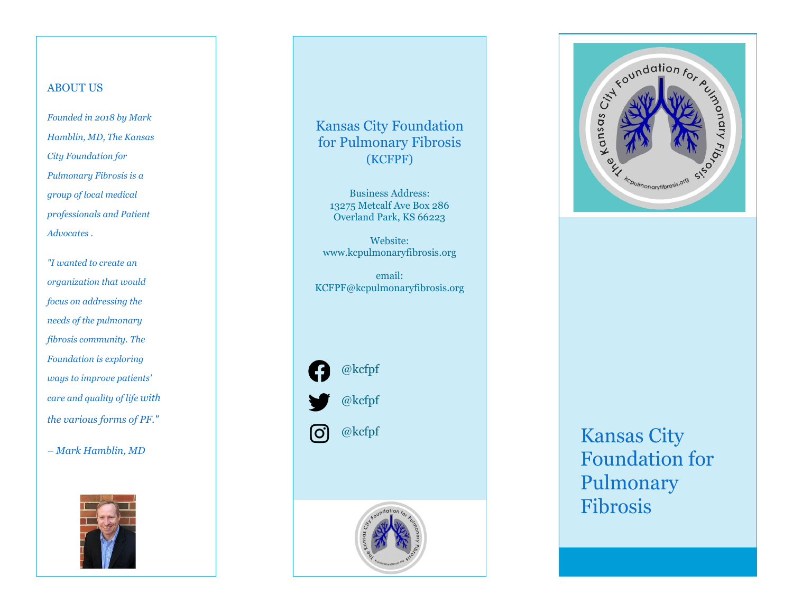## ABOUT US

*Founded in 2018 by Mark Hamblin, MD, The Kansas City Foundation for Pulmonary Fibrosis is a group of local medical professionals and Patient Advocates .*

*"I wanted to create an organization that would focus on addressing the needs of the pulmonary fibrosis community. The Foundation is exploring ways to improve patients' care and quality of life with the various forms of PF." – Mark Hamblin, MD*



# Kansas City Foundation for Pulmonary Fibrosis (KCFPF)

Business Address: 13275 Metcalf Ave Box 286 Overland Park, KS 66223

Website: www.kcpulmonaryfibrosis.org

email: KCFPF@kcpulmonaryfibrosis.org







# Kansas City Foundation for Pulmonary Fibrosis